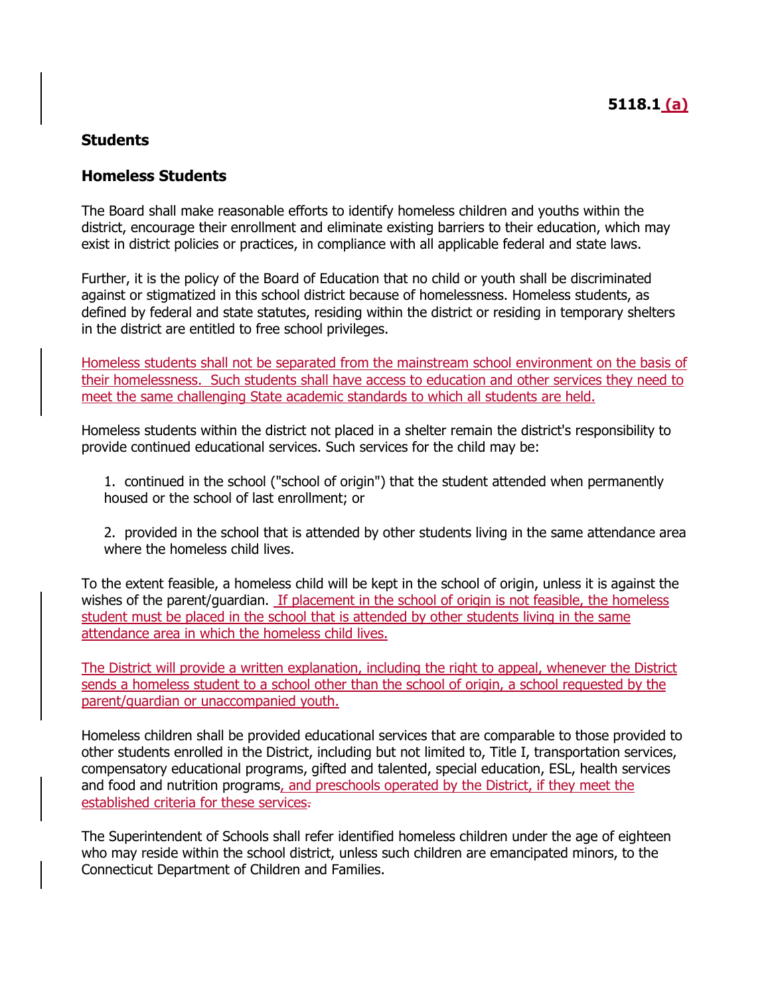#### **Homeless Students**

The Board shall make reasonable efforts to identify homeless children and youths within the district, encourage their enrollment and eliminate existing barriers to their education, which may exist in district policies or practices, in compliance with all applicable federal and state laws.

Further, it is the policy of the Board of Education that no child or youth shall be discriminated against or stigmatized in this school district because of homelessness. Homeless students, as defined by federal and state statutes, residing within the district or residing in temporary shelters in the district are entitled to free school privileges.

Homeless students shall not be separated from the mainstream school environment on the basis of their homelessness. Such students shall have access to education and other services they need to meet the same challenging State academic standards to which all students are held.

Homeless students within the district not placed in a shelter remain the district's responsibility to provide continued educational services. Such services for the child may be:

1. continued in the school ("school of origin") that the student attended when permanently housed or the school of last enrollment; or

2. provided in the school that is attended by other students living in the same attendance area where the homeless child lives.

To the extent feasible, a homeless child will be kept in the school of origin, unless it is against the wishes of the parent/guardian. If placement in the school of origin is not feasible, the homeless student must be placed in the school that is attended by other students living in the same attendance area in which the homeless child lives.

The District will provide a written explanation, including the right to appeal, whenever the District sends a homeless student to a school other than the school of origin, a school requested by the parent/guardian or unaccompanied youth.

Homeless children shall be provided educational services that are comparable to those provided to other students enrolled in the District, including but not limited to, Title I, transportation services, compensatory educational programs, gifted and talented, special education, ESL, health services and food and nutrition programs, and preschools operated by the District, if they meet the established criteria for these services.

The Superintendent of Schools shall refer identified homeless children under the age of eighteen who may reside within the school district, unless such children are emancipated minors, to the Connecticut Department of Children and Families.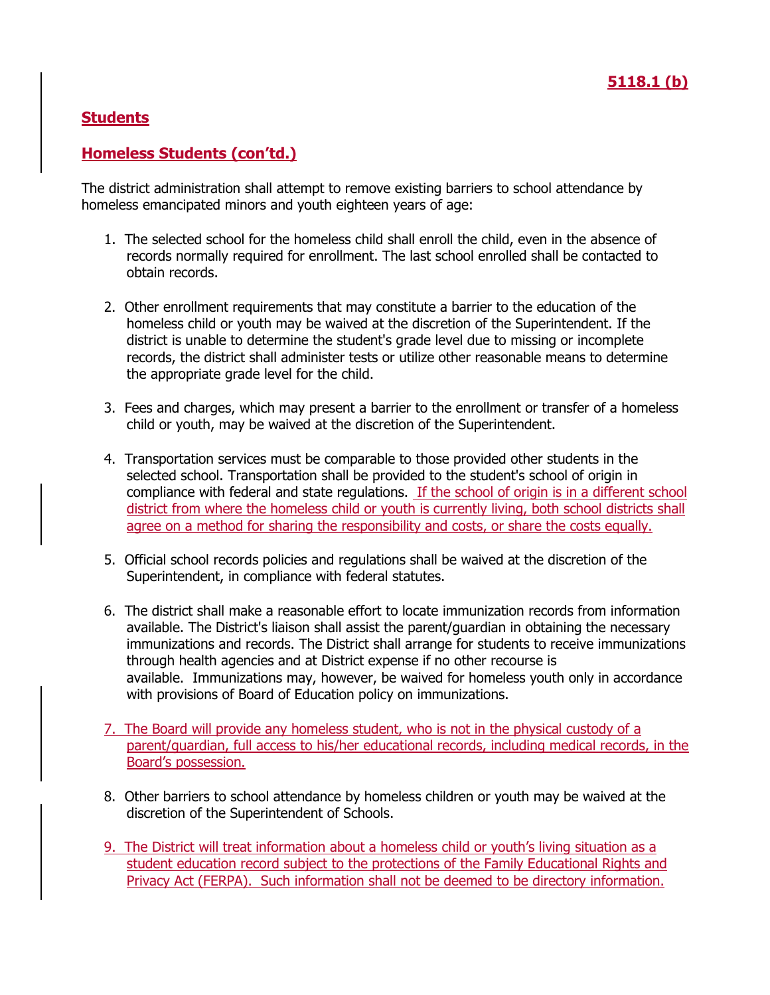## **Homeless Students (con'td.)**

The district administration shall attempt to remove existing barriers to school attendance by homeless emancipated minors and youth eighteen years of age:

- 1. The selected school for the homeless child shall enroll the child, even in the absence of records normally required for enrollment. The last school enrolled shall be contacted to obtain records.
- 2. Other enrollment requirements that may constitute a barrier to the education of the homeless child or youth may be waived at the discretion of the Superintendent. If the district is unable to determine the student's grade level due to missing or incomplete records, the district shall administer tests or utilize other reasonable means to determine the appropriate grade level for the child.
- 3. Fees and charges, which may present a barrier to the enrollment or transfer of a homeless child or youth, may be waived at the discretion of the Superintendent.
- 4. Transportation services must be comparable to those provided other students in the selected school. Transportation shall be provided to the student's school of origin in compliance with federal and state regulations. If the school of origin is in a different school district from where the homeless child or youth is currently living, both school districts shall agree on a method for sharing the responsibility and costs, or share the costs equally.
- 5. Official school records policies and regulations shall be waived at the discretion of the Superintendent, in compliance with federal statutes.
- 6. The district shall make a reasonable effort to locate immunization records from information available. The District's liaison shall assist the parent/guardian in obtaining the necessary immunizations and records. The District shall arrange for students to receive immunizations through health agencies and at District expense if no other recourse is available. Immunizations may, however, be waived for homeless youth only in accordance with provisions of Board of Education policy on immunizations.
- 7. The Board will provide any homeless student, who is not in the physical custody of a parent/guardian, full access to his/her educational records, including medical records, in the Board's possession.
- 8. Other barriers to school attendance by homeless children or youth may be waived at the discretion of the Superintendent of Schools.
- 9. The District will treat information about a homeless child or youth's living situation as a student education record subject to the protections of the Family Educational Rights and Privacy Act (FERPA). Such information shall not be deemed to be directory information.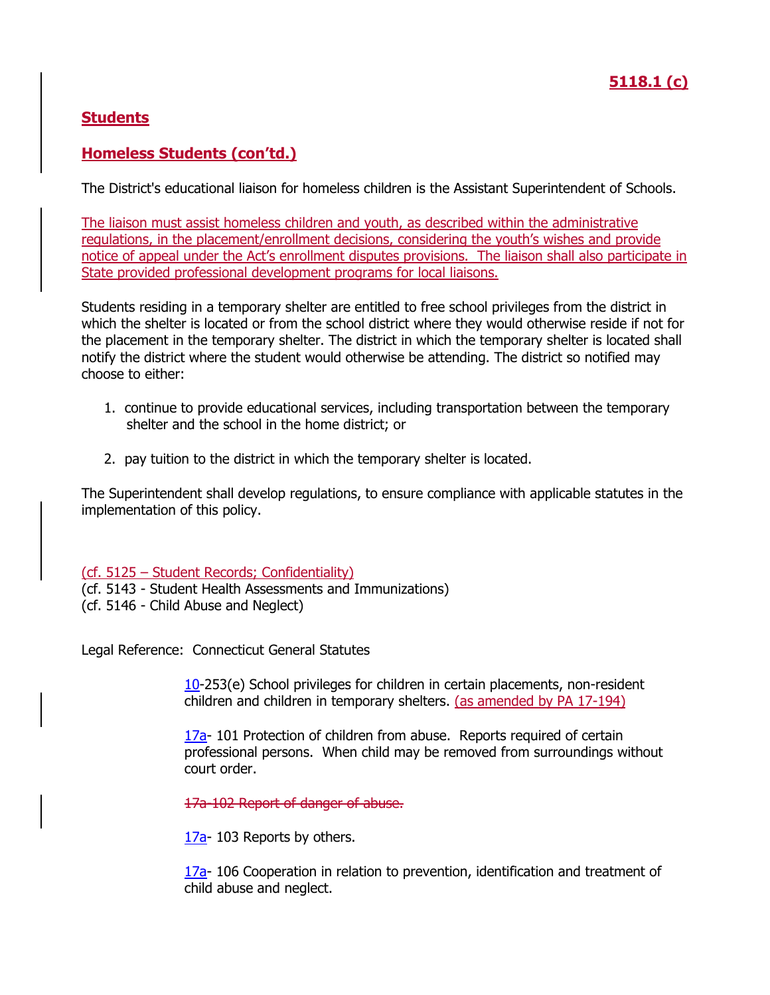## **Homeless Students (con'td.)**

The District's educational liaison for homeless children is the Assistant Superintendent of Schools.

The liaison must assist homeless children and youth, as described within the administrative regulations, in the placement/enrollment decisions, considering the youth's wishes and provide notice of appeal under the Act's enrollment disputes provisions. The liaison shall also participate in State provided professional development programs for local liaisons.

Students residing in a temporary shelter are entitled to free school privileges from the district in which the shelter is located or from the school district where they would otherwise reside if not for the placement in the temporary shelter. The district in which the temporary shelter is located shall notify the district where the student would otherwise be attending. The district so notified may choose to either:

- 1. continue to provide educational services, including transportation between the temporary shelter and the school in the home district; or
- 2. pay tuition to the district in which the temporary shelter is located.

The Superintendent shall develop regulations, to ensure compliance with applicable statutes in the implementation of this policy.

(cf. 5125 – Student Records; Confidentiality)

(cf. 5143 - Student Health Assessments and Immunizations)

(cf. 5146 - Child Abuse and Neglect)

Legal Reference: Connecticut General Statutes

[10-](http://www.cga.ct.gov/current/pub/title_10.htm)253(e) School privileges for children in certain placements, non-resident children and children in temporary shelters. (as amended by PA 17-194)

[17a-](http://www.cga.ct.gov/current/pub/title_17a.htm) 101 Protection of children from abuse. Reports required of certain professional persons. When child may be removed from surroundings without court order.

17a-102 Report of danger of abuse.

[17a-](http://www.cga.ct.gov/current/pub/title_17a.htm) 103 Reports by others.

[17a-](http://www.cga.ct.gov/current/pub/title_17a.htm) 106 Cooperation in relation to prevention, identification and treatment of child abuse and neglect.